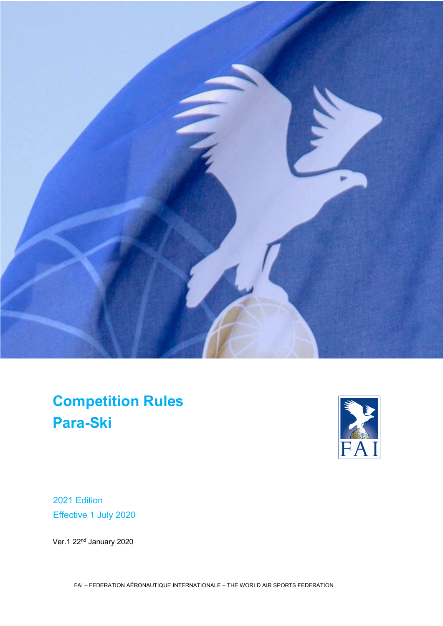

**Competition Rules Para-Ski**



2021 Edition Effective 1 July 2020

Ver.1 22<sup>nd</sup> January 2020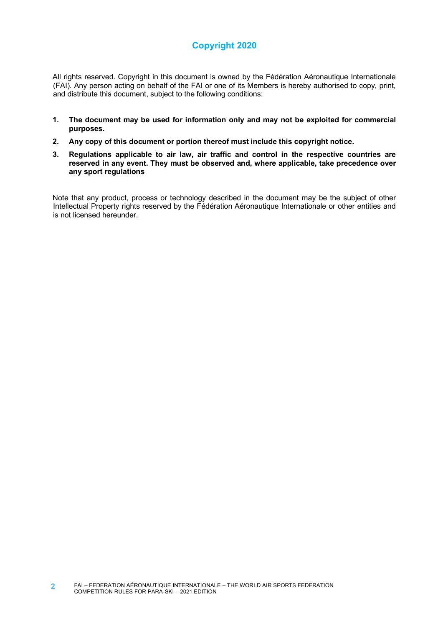# **Copyright 2020**

All rights reserved. Copyright in this document is owned by the Fédération Aéronautique Internationale (FAI). Any person acting on behalf of the FAI or one of its Members is hereby authorised to copy, print, and distribute this document, subject to the following conditions:

- **1. The document may be used for information only and may not be exploited for commercial purposes.**
- **2. Any copy of this document or portion thereof must include this copyright notice.**
- **3. Regulations applicable to air law, air traffic and control in the respective countries are reserved in any event. They must be observed and, where applicable, take precedence over any sport regulations**

Note that any product, process or technology described in the document may be the subject of other Intellectual Property rights reserved by the Fédération Aéronautique Internationale or other entities and is not licensed hereunder.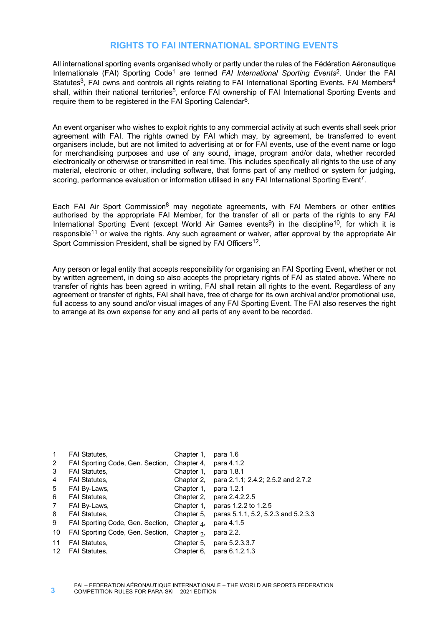## **RIGHTS TO FAI INTERNATIONAL SPORTING EVENTS**

All international sporting events organised wholly or partly under the rules of the Fédération Aéronautique Internationale (FAI) Sporting Code1 are termed *FAI International Sporting Events*2. Under the FAI Statutes<sup>3</sup>, FAI owns and controls all rights relating to FAI International Sporting Events. FAI Members<sup>4</sup> shall, within their national territories<sup>5</sup>, enforce FAI ownership of FAI International Sporting Events and require them to be registered in the FAI Sporting Calendar<sup>6</sup>.

An event organiser who wishes to exploit rights to any commercial activity at such events shall seek prior agreement with FAI. The rights owned by FAI which may, by agreement, be transferred to event organisers include, but are not limited to advertising at or for FAI events, use of the event name or logo for merchandising purposes and use of any sound, image, program and/or data, whether recorded electronically or otherwise or transmitted in real time. This includes specifically all rights to the use of any material, electronic or other, including software, that forms part of any method or system for judging, scoring, performance evaluation or information utilised in any FAI International Sporting Event<sup>7</sup>.

Each FAI Air Sport Commission<sup>8</sup> may negotiate agreements, with FAI Members or other entities authorised by the appropriate FAI Member, for the transfer of all or parts of the rights to any FAI International Sporting Event (except World Air Games events<sup>9</sup>) in the discipline<sup>10</sup>, for which it is responsible<sup>11</sup> or waive the rights. Any such agreement or waiver, after approval by the appropriate Air Sport Commission President, shall be signed by FAI Officers<sup>12</sup>.

Any person or legal entity that accepts responsibility for organising an FAI Sporting Event, whether or not by written agreement, in doing so also accepts the proprietary rights of FAI as stated above. Where no transfer of rights has been agreed in writing, FAI shall retain all rights to the event. Regardless of any agreement or transfer of rights, FAI shall have, free of charge for its own archival and/or promotional use, full access to any sound and/or visual images of any FAI Sporting Event. The FAI also reserves the right to arrange at its own expense for any and all parts of any event to be recorded.

| $\mathbf 1$ | <b>FAI Statutes,</b>             | Chapter 1,          | para 1.6                            |
|-------------|----------------------------------|---------------------|-------------------------------------|
| 2           | FAI Sporting Code, Gen. Section, | Chapter 4.          | para 4.1.2                          |
| 3           | <b>FAI Statutes,</b>             | Chapter 1,          | para 1.8.1                          |
| 4           | <b>FAI Statutes,</b>             | Chapter 2,          | para 2.1.1; 2.4.2; 2.5.2 and 2.7.2  |
| 5           | FAI By-Laws,                     | Chapter 1,          | para 1.2.1                          |
| 6           | <b>FAI Statutes,</b>             | Chapter 2.          | para 2.4.2.2.5                      |
| 7           | FAI By-Laws,                     | Chapter 1,          | paras 1.2.2 to 1.2.5                |
| 8           | <b>FAI Statutes,</b>             | Chapter 5,          | paras 5.1.1, 5.2, 5.2.3 and 5.2.3.3 |
| 9           | FAI Sporting Code, Gen. Section, | Chapter $\Lambda$ , | para 4.1.5                          |
| 10          | FAI Sporting Code, Gen. Section, | Chapter $\gamma$ ,  | para 2.2.                           |
| 11          | <b>FAI Statutes,</b>             | Chapter 5,          | para 5.2.3.3.7                      |
| 12          | <b>FAI Statutes.</b>             | Chapter 6,          | para 6.1.2.1.3                      |

1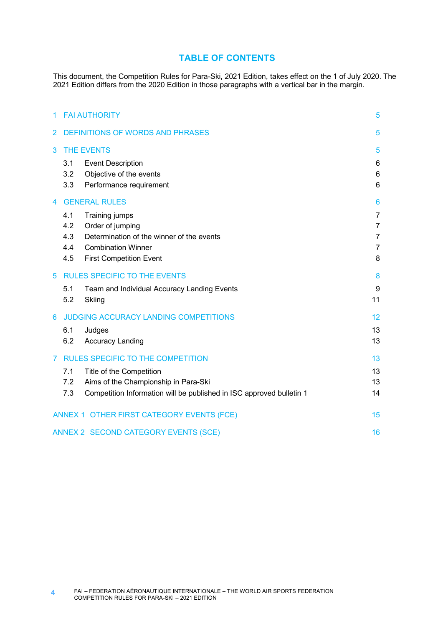## **TABLE OF CONTENTS**

This document, the Competition Rules for Para-Ski, 2021 Edition, takes effect on the 1 of July 2020. The 2021 Edition differs from the 2020 Edition in those paragraphs with a vertical bar in the margin.

| 1 | <b>FAI AUTHORITY</b>                    |                                                                        |                     |  |  |
|---|-----------------------------------------|------------------------------------------------------------------------|---------------------|--|--|
| 2 | <b>DEFINITIONS OF WORDS AND PHRASES</b> |                                                                        |                     |  |  |
| 3 |                                         | <b>THE EVENTS</b>                                                      |                     |  |  |
|   | 3.1                                     | <b>Event Description</b>                                               | 6                   |  |  |
|   | 3.2<br>3.3                              | Objective of the events                                                | 6<br>6              |  |  |
|   |                                         | Performance requirement                                                |                     |  |  |
| 4 |                                         | <b>GENERAL RULES</b>                                                   | 6                   |  |  |
|   | 4.1                                     | Training jumps                                                         | $\overline{7}$      |  |  |
|   | 4.2                                     | Order of jumping                                                       | $\overline{7}$      |  |  |
|   | 4.3                                     | Determination of the winner of the events<br><b>Combination Winner</b> | $\overline{7}$      |  |  |
|   | 4.4<br>4.5                              | <b>First Competition Event</b>                                         | $\overline{7}$<br>8 |  |  |
|   |                                         |                                                                        |                     |  |  |
| 5 |                                         | <b>RULES SPECIFIC TO THE EVENTS</b>                                    | 8                   |  |  |
|   | 5.1                                     | Team and Individual Accuracy Landing Events                            | 9                   |  |  |
|   | 5.2                                     | Skiing                                                                 | 11                  |  |  |
| 6 |                                         | JUDGING ACCURACY LANDING COMPETITIONS                                  | 12                  |  |  |
|   | 6.1                                     | Judges                                                                 | 13                  |  |  |
|   | 6.2                                     | <b>Accuracy Landing</b>                                                | 13                  |  |  |
| 7 |                                         | <b>RULES SPECIFIC TO THE COMPETITION</b>                               | 13                  |  |  |
|   | 7.1                                     | Title of the Competition                                               | 13                  |  |  |
|   | 7.2                                     | Aims of the Championship in Para-Ski                                   | 13                  |  |  |
|   | 7.3                                     | Competition Information will be published in ISC approved bulletin 1   | 14                  |  |  |
|   |                                         | ANNEX 1 OTHER FIRST CATEGORY EVENTS (FCE)                              | 15                  |  |  |
|   |                                         | ANNEX 2 SECOND CATEGORY EVENTS (SCE)                                   | 16                  |  |  |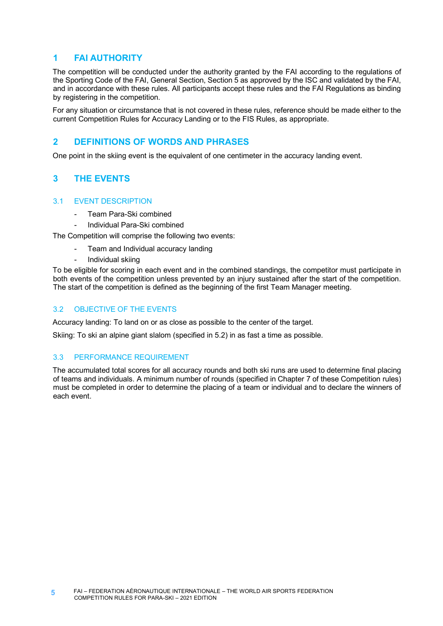## **1 FAI AUTHORITY**

The competition will be conducted under the authority granted by the FAI according to the regulations of the Sporting Code of the FAI, General Section, Section 5 as approved by the ISC and validated by the FAI, and in accordance with these rules. All participants accept these rules and the FAI Regulations as binding by registering in the competition.

For any situation or circumstance that is not covered in these rules, reference should be made either to the current Competition Rules for Accuracy Landing or to the FIS Rules, as appropriate.

# **2 DEFINITIONS OF WORDS AND PHRASES**

One point in the skiing event is the equivalent of one centimeter in the accuracy landing event.

# **3 THE EVENTS**

## 3.1 EVENT DESCRIPTION

- Team Para-Ski combined
- Individual Para-Ski combined

The Competition will comprise the following two events:

- Team and Individual accuracy landing
	- Individual skiing

To be eligible for scoring in each event and in the combined standings, the competitor must participate in both events of the competition unless prevented by an injury sustained after the start of the competition. The start of the competition is defined as the beginning of the first Team Manager meeting.

## 3.2 OBJECTIVE OF THE EVENTS

Accuracy landing: To land on or as close as possible to the center of the target.

Skiing: To ski an alpine giant slalom (specified in 5.2) in as fast a time as possible.

## 3.3 PERFORMANCE REQUIREMENT

The accumulated total scores for all accuracy rounds and both ski runs are used to determine final placing of teams and individuals. A minimum number of rounds (specified in Chapter 7 of these Competition rules) must be completed in order to determine the placing of a team or individual and to declare the winners of each event.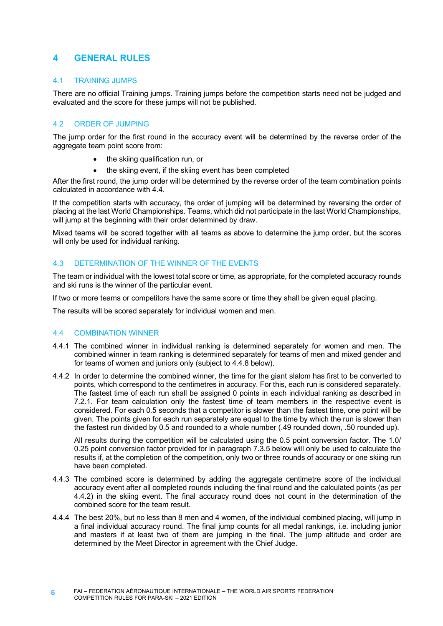## **4 GENERAL RULES**

## 4.1 TRAINING JUMPS

There are no official Training jumps. Training jumps before the competition starts need not be judged and evaluated and the score for these jumps will not be published.

## 4.2 ORDER OF JUMPING

The jump order for the first round in the accuracy event will be determined by the reverse order of the aggregate team point score from:

- the skiing qualification run, or
- the skiing event, if the skiing event has been completed

After the first round, the jump order will be determined by the reverse order of the team combination points calculated in accordance with 4.4.

If the competition starts with accuracy, the order of jumping will be determined by reversing the order of placing at the last World Championships. Teams, which did not participate in the last World Championships, will jump at the beginning with their order determined by draw.

Mixed teams will be scored together with all teams as above to determine the jump order, but the scores will only be used for individual ranking.

## 4.3 DETERMINATION OF THE WINNER OF THE EVENTS

The team or individual with the lowest total score or time, as appropriate, for the completed accuracy rounds and ski runs is the winner of the particular event.

If two or more teams or competitors have the same score or time they shall be given equal placing.

The results will be scored separately for individual women and men.

## 4.4 COMBINATION WINNER

- 4.4.1 The combined winner in individual ranking is determined separately for women and men. The combined winner in team ranking is determined separately for teams of men and mixed gender and for teams of women and juniors only (subject to 4.4.8 below).
- 4.4.2 In order to determine the combined winner, the time for the giant slalom has first to be converted to points, which correspond to the centimetres in accuracy. For this, each run is considered separately. The fastest time of each run shall be assigned 0 points in each individual ranking as described in 7.2.1. For team calculation only the fastest time of team members in the respective event is considered. For each 0.5 seconds that a competitor is slower than the fastest time, one point will be given. The points given for each run separately are equal to the time by which the run is slower than the fastest run divided by 0.5 and rounded to a whole number (.49 rounded down, .50 rounded up).

All results during the competition will be calculated using the 0.5 point conversion factor. The 1.0/ 0.25 point conversion factor provided for in paragraph 7.3.5 below will only be used to calculate the results if, at the completion of the competition, only two or three rounds of accuracy or one skiing run have been completed.

- 4.4.3 The combined score is determined by adding the aggregate centimetre score of the individual accuracy event after all completed rounds including the final round and the calculated points (as per 4.4.2) in the skiing event. The final accuracy round does not count in the determination of the combined score for the team result.
- 4.4.4 The best 20%, but no less than 8 men and 4 women, of the individual combined placing, will jump in a final individual accuracy round. The final jump counts for all medal rankings, i.e. including junior and masters if at least two of them are jumping in the final. The jump altitude and order are determined by the Meet Director in agreement with the Chief Judge.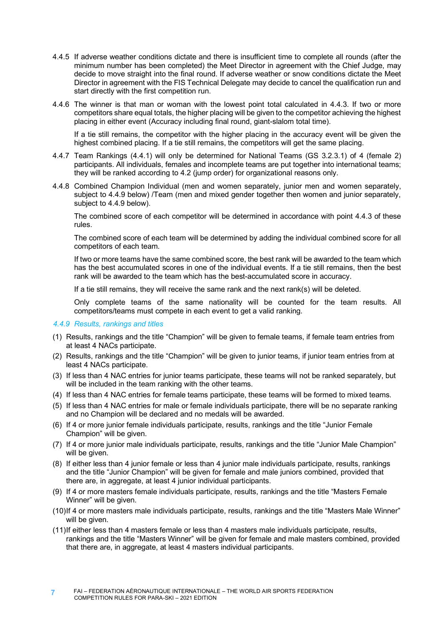- 4.4.5 If adverse weather conditions dictate and there is insufficient time to complete all rounds (after the minimum number has been completed) the Meet Director in agreement with the Chief Judge, may decide to move straight into the final round. If adverse weather or snow conditions dictate the Meet Director in agreement with the FIS Technical Delegate may decide to cancel the qualification run and start directly with the first competition run.
- 4.4.6 The winner is that man or woman with the lowest point total calculated in 4.4.3. If two or more competitors share equal totals, the higher placing will be given to the competitor achieving the highest placing in either event (Accuracy including final round, giant-slalom total time).

If a tie still remains, the competitor with the higher placing in the accuracy event will be given the highest combined placing. If a tie still remains, the competitors will get the same placing.

- 4.4.7 Team Rankings (4.4.1) will only be determined for National Teams (GS 3.2.3.1) of 4 (female 2) participants. All individuals, females and incomplete teams are put together into international teams; they will be ranked according to 4.2 (jump order) for organizational reasons only.
- 4.4.8 Combined Champion Individual (men and women separately, junior men and women separately, subject to 4.4.9 below) /Team (men and mixed gender together then women and junior separately, subject to 4.4.9 below).

The combined score of each competitor will be determined in accordance with point 4.4.3 of these rules.

The combined score of each team will be determined by adding the individual combined score for all competitors of each team.

If two or more teams have the same combined score, the best rank will be awarded to the team which has the best accumulated scores in one of the individual events. If a tie still remains, then the best rank will be awarded to the team which has the best-accumulated score in accuracy.

If a tie still remains, they will receive the same rank and the next rank(s) will be deleted.

Only complete teams of the same nationality will be counted for the team results. All competitors/teams must compete in each event to get a valid ranking.

#### *4.4.9 Results, rankings and titles*

- (1) Results, rankings and the title "Champion" will be given to female teams, if female team entries from at least 4 NACs participate.
- (2) Results, rankings and the title "Champion" will be given to junior teams, if junior team entries from at least 4 NACs participate.
- (3) If less than 4 NAC entries for junior teams participate, these teams will not be ranked separately, but will be included in the team ranking with the other teams.
- (4) If less than 4 NAC entries for female teams participate, these teams will be formed to mixed teams.
- (5) If less than 4 NAC entries for male or female individuals participate, there will be no separate ranking and no Champion will be declared and no medals will be awarded.
- (6) If 4 or more junior female individuals participate, results, rankings and the title "Junior Female Champion" will be given.
- (7) If 4 or more junior male individuals participate, results, rankings and the title "Junior Male Champion" will be given.
- (8) If either less than 4 junior female or less than 4 junior male individuals participate, results, rankings and the title "Junior Champion" will be given for female and male juniors combined, provided that there are, in aggregate, at least 4 junior individual participants.
- (9) If 4 or more masters female individuals participate, results, rankings and the title "Masters Female Winner" will be given.
- (10)If 4 or more masters male individuals participate, results, rankings and the title "Masters Male Winner" will be given.
- (11)If either less than 4 masters female or less than 4 masters male individuals participate, results, rankings and the title "Masters Winner" will be given for female and male masters combined, provided that there are, in aggregate, at least 4 masters individual participants.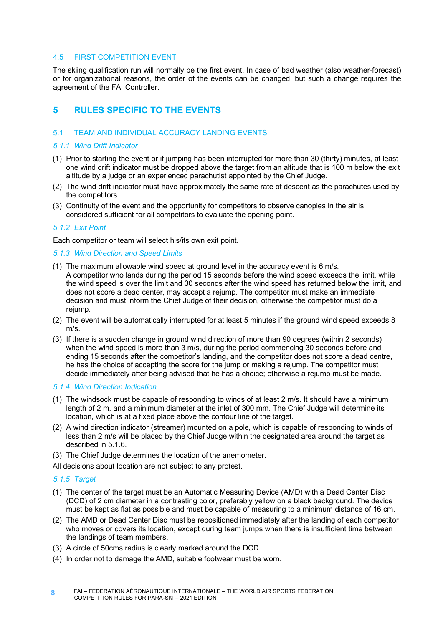#### 4.5 FIRST COMPETITION EVENT

The skiing qualification run will normally be the first event. In case of bad weather (also weather-forecast) or for organizational reasons, the order of the events can be changed, but such a change requires the agreement of the FAI Controller.

# **5 RULES SPECIFIC TO THE EVENTS**

### 5.1 TEAM AND INDIVIDUAL ACCURACY LANDING EVENTS

### *5.1.1 Wind Drift Indicator*

- (1) Prior to starting the event or if jumping has been interrupted for more than 30 (thirty) minutes, at least one wind drift indicator must be dropped above the target from an altitude that is 100 m below the exit altitude by a judge or an experienced parachutist appointed by the Chief Judge.
- (2) The wind drift indicator must have approximately the same rate of descent as the parachutes used by the competitors.
- (3) Continuity of the event and the opportunity for competitors to observe canopies in the air is considered sufficient for all competitors to evaluate the opening point.

### *5.1.2 Exit Point*

Each competitor or team will select his/its own exit point.

#### *5.1.3 Wind Direction and Speed Limits*

- (1) The maximum allowable wind speed at ground level in the accuracy event is 6 m/s. A competitor who lands during the period 15 seconds before the wind speed exceeds the limit, while the wind speed is over the limit and 30 seconds after the wind speed has returned below the limit, and does not score a dead center, may accept a rejump. The competitor must make an immediate decision and must inform the Chief Judge of their decision, otherwise the competitor must do a rejump.
- (2) The event will be automatically interrupted for at least 5 minutes if the ground wind speed exceeds 8 m/s.
- (3) If there is a sudden change in ground wind direction of more than 90 degrees (within 2 seconds) when the wind speed is more than 3 m/s, during the period commencing 30 seconds before and ending 15 seconds after the competitor's landing, and the competitor does not score a dead centre, he has the choice of accepting the score for the jump or making a rejump. The competitor must decide immediately after being advised that he has a choice; otherwise a rejump must be made.

### *5.1.4 Wind Direction Indication*

- (1) The windsock must be capable of responding to winds of at least 2 m/s. It should have a minimum length of 2 m, and a minimum diameter at the inlet of 300 mm. The Chief Judge will determine its location, which is at a fixed place above the contour line of the target.
- (2) A wind direction indicator (streamer) mounted on a pole, which is capable of responding to winds of less than 2 m/s will be placed by the Chief Judge within the designated area around the target as described in 5.1.6.
- (3) The Chief Judge determines the location of the anemometer.
- All decisions about location are not subject to any protest.

## *5.1.5 Target*

- (1) The center of the target must be an Automatic Measuring Device (AMD) with a Dead Center Disc (DCD) of 2 cm diameter in a contrasting color, preferably yellow on a black background. The device must be kept as flat as possible and must be capable of measuring to a minimum distance of 16 cm.
- (2) The AMD or Dead Center Disc must be repositioned immediately after the landing of each competitor who moves or covers its location, except during team jumps when there is insufficient time between the landings of team members.
- (3) A circle of 50cms radius is clearly marked around the DCD.
- (4) In order not to damage the AMD, suitable footwear must be worn.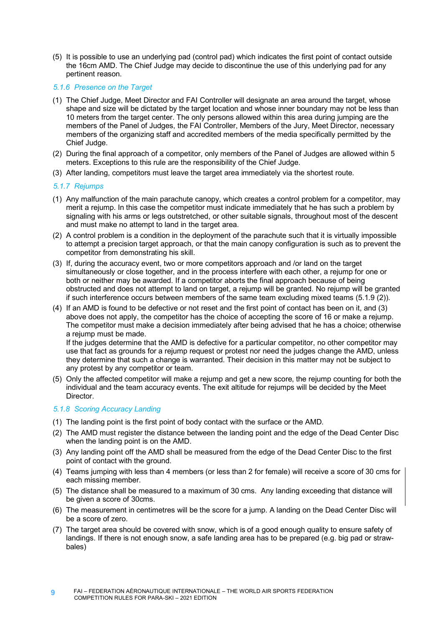(5) It is possible to use an underlying pad (control pad) which indicates the first point of contact outside the 16cm AMD. The Chief Judge may decide to discontinue the use of this underlying pad for any pertinent reason.

### *5.1.6 Presence on the Target*

- (1) The Chief Judge, Meet Director and FAI Controller will designate an area around the target, whose shape and size will be dictated by the target location and whose inner boundary may not be less than 10 meters from the target center. The only persons allowed within this area during jumping are the members of the Panel of Judges, the FAI Controller, Members of the Jury, Meet Director, necessary members of the organizing staff and accredited members of the media specifically permitted by the Chief Judge.
- (2) During the final approach of a competitor, only members of the Panel of Judges are allowed within 5 meters. Exceptions to this rule are the responsibility of the Chief Judge.
- (3) After landing, competitors must leave the target area immediately via the shortest route.

### *5.1.7 Rejumps*

- (1) Any malfunction of the main parachute canopy, which creates a control problem for a competitor, may merit a rejump. In this case the competitor must indicate immediately that he has such a problem by signaling with his arms or legs outstretched, or other suitable signals, throughout most of the descent and must make no attempt to land in the target area.
- (2) A control problem is a condition in the deployment of the parachute such that it is virtually impossible to attempt a precision target approach, or that the main canopy configuration is such as to prevent the competitor from demonstrating his skill.
- (3) If, during the accuracy event, two or more competitors approach and /or land on the target simultaneously or close together, and in the process interfere with each other, a rejump for one or both or neither may be awarded. If a competitor aborts the final approach because of being obstructed and does not attempt to land on target, a rejump will be granted. No rejump will be granted if such interference occurs between members of the same team excluding mixed teams (5.1.9 (2)).
- (4) If an AMD is found to be defective or not reset and the first point of contact has been on it, and (3) above does not apply, the competitor has the choice of accepting the score of 16 or make a rejump. The competitor must make a decision immediately after being advised that he has a choice; otherwise a rejump must be made.

If the judges determine that the AMD is defective for a particular competitor, no other competitor may use that fact as grounds for a rejump request or protest nor need the judges change the AMD, unless they determine that such a change is warranted. Their decision in this matter may not be subject to any protest by any competitor or team.

(5) Only the affected competitor will make a rejump and get a new score, the rejump counting for both the individual and the team accuracy events. The exit altitude for rejumps will be decided by the Meet Director.

## *5.1.8 Scoring Accuracy Landing*

- (1) The landing point is the first point of body contact with the surface or the AMD.
- (2) The AMD must register the distance between the landing point and the edge of the Dead Center Disc when the landing point is on the AMD.
- (3) Any landing point off the AMD shall be measured from the edge of the Dead Center Disc to the first point of contact with the ground.
- (4) Teams jumping with less than 4 members (or less than 2 for female) will receive a score of 30 cms for each missing member.
- (5) The distance shall be measured to a maximum of 30 cms. Any landing exceeding that distance will be given a score of 30cms.
- (6) The measurement in centimetres will be the score for a jump. A landing on the Dead Center Disc will be a score of zero.
- (7) The target area should be covered with snow, which is of a good enough quality to ensure safety of landings. If there is not enough snow, a safe landing area has to be prepared (e.g. big pad or strawbales)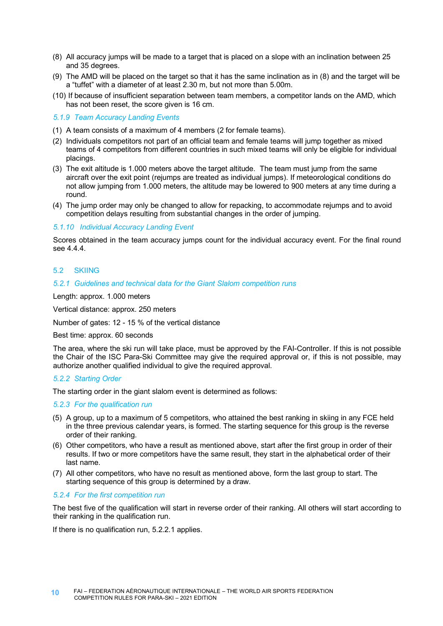- (8) All accuracy jumps will be made to a target that is placed on a slope with an inclination between 25 and 35 degrees.
- (9) The AMD will be placed on the target so that it has the same inclination as in (8) and the target will be a "tuffet" with a diameter of at least 2.30 m, but not more than 5.00m.
- (10) If because of insufficient separation between team members, a competitor lands on the AMD, which has not been reset, the score given is 16 cm.

*5.1.9 Team Accuracy Landing Events*

- (1) A team consists of a maximum of 4 members (2 for female teams).
- (2) Individuals competitors not part of an official team and female teams will jump together as mixed teams of 4 competitors from different countries in such mixed teams will only be eligible for individual placings.
- (3) The exit altitude is 1.000 meters above the target altitude. The team must jump from the same aircraft over the exit point (rejumps are treated as individual jumps). If meteorological conditions do not allow jumping from 1.000 meters, the altitude may be lowered to 900 meters at any time during a round.
- (4) The jump order may only be changed to allow for repacking, to accommodate rejumps and to avoid competition delays resulting from substantial changes in the order of jumping.

#### *5.1.10 Individual Accuracy Landing Event*

Scores obtained in the team accuracy jumps count for the individual accuracy event. For the final round see 4.4.4.

#### 5.2 SKIING

#### *5.2.1 Guidelines and technical data for the Giant Slalom competition runs*

Length: approx. 1.000 meters

Vertical distance: approx. 250 meters

Number of gates: 12 - 15 % of the vertical distance

Best time: approx. 60 seconds

The area, where the ski run will take place, must be approved by the FAI-Controller. If this is not possible the Chair of the ISC Para-Ski Committee may give the required approval or, if this is not possible, may authorize another qualified individual to give the required approval.

#### *5.2.2 Starting Order*

The starting order in the giant slalom event is determined as follows:

#### *5.2.3 For the qualification run*

- (5) A group, up to a maximum of 5 competitors, who attained the best ranking in skiing in any FCE held in the three previous calendar years, is formed. The starting sequence for this group is the reverse order of their ranking.
- (6) Other competitors, who have a result as mentioned above, start after the first group in order of their results. If two or more competitors have the same result, they start in the alphabetical order of their last name.
- (7) All other competitors, who have no result as mentioned above, form the last group to start. The starting sequence of this group is determined by a draw.

#### *5.2.4 For the first competition run*

The best five of the qualification will start in reverse order of their ranking. All others will start according to their ranking in the qualification run.

If there is no qualification run, 5.2.2.1 applies.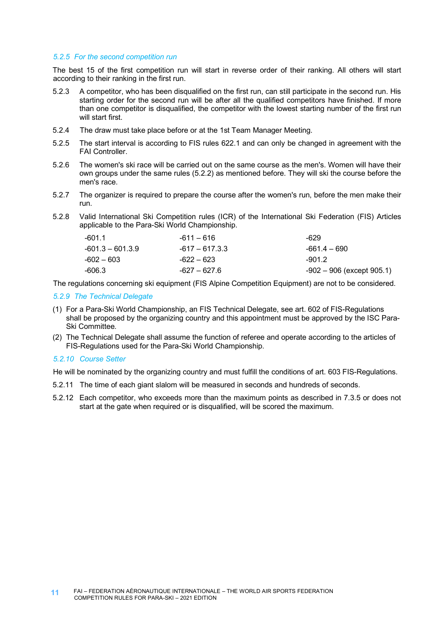#### *5.2.5 For the second competition run*

The best 15 of the first competition run will start in reverse order of their ranking. All others will start according to their ranking in the first run.

- 5.2.3 A competitor, who has been disqualified on the first run, can still participate in the second run. His starting order for the second run will be after all the qualified competitors have finished. If more than one competitor is disqualified, the competitor with the lowest starting number of the first run will start first.
- 5.2.4 The draw must take place before or at the 1st Team Manager Meeting.
- 5.2.5 The start interval is according to FIS rules 622.1 and can only be changed in agreement with the FAI Controller.
- 5.2.6 The women's ski race will be carried out on the same course as the men's. Women will have their own groups under the same rules (5.2.2) as mentioned before. They will ski the course before the men's race.
- 5.2.7 The organizer is required to prepare the course after the women's run, before the men make their run.
- 5.2.8 Valid International Ski Competition rules (ICR) of the International Ski Federation (FIS) Articles applicable to the Para-Ski World Championship.

| -601.1           | -611 – 616     | -629                           |
|------------------|----------------|--------------------------------|
| -601.3 – 601.3.9 | -617 – 617.3.3 | -661.4 – 690                   |
| -602 – 603       | -622 – 623     | $-901.2$                       |
| -606.3           | -627 – 627.6   | $-902 - 906$ (except $905.1$ ) |

The regulations concerning ski equipment (FIS Alpine Competition Equipment) are not to be considered.

### *5.2.9 The Technical Delegate*

- (1) For a Para-Ski World Championship, an FIS Technical Delegate, see art. 602 of FIS-Regulations shall be proposed by the organizing country and this appointment must be approved by the ISC Para-Ski Committee.
- (2) The Technical Delegate shall assume the function of referee and operate according to the articles of FIS-Regulations used for the Para-Ski World Championship.

#### *5.2.10 Course Setter*

He will be nominated by the organizing country and must fulfill the conditions of art. 603 FIS-Regulations.

- 5.2.11 The time of each giant slalom will be measured in seconds and hundreds of seconds.
- 5.2.12 Each competitor, who exceeds more than the maximum points as described in 7.3.5 or does not start at the gate when required or is disqualified, will be scored the maximum.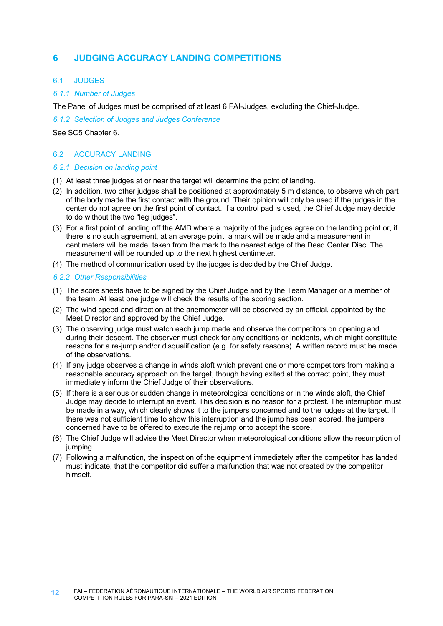# **6 JUDGING ACCURACY LANDING COMPETITIONS**

### 6.1 JUDGES

## *6.1.1 Number of Judges*

The Panel of Judges must be comprised of at least 6 FAI-Judges, excluding the Chief-Judge.

*6.1.2 Selection of Judges and Judges Conference*

See SC5 Chapter 6.

## 6.2 ACCURACY LANDING

### *6.2.1 Decision on landing point*

- (1) At least three judges at or near the target will determine the point of landing.
- (2) In addition, two other judges shall be positioned at approximately 5 m distance, to observe which part of the body made the first contact with the ground. Their opinion will only be used if the judges in the center do not agree on the first point of contact. If a control pad is used, the Chief Judge may decide to do without the two "lea judges".
- (3) For a first point of landing off the AMD where a majority of the judges agree on the landing point or, if there is no such agreement, at an average point, a mark will be made and a measurement in centimeters will be made, taken from the mark to the nearest edge of the Dead Center Disc. The measurement will be rounded up to the next highest centimeter.
- (4) The method of communication used by the judges is decided by the Chief Judge.

### *6.2.2 Other Responsibilities*

- (1) The score sheets have to be signed by the Chief Judge and by the Team Manager or a member of the team. At least one judge will check the results of the scoring section.
- (2) The wind speed and direction at the anemometer will be observed by an official, appointed by the Meet Director and approved by the Chief Judge.
- (3) The observing judge must watch each jump made and observe the competitors on opening and during their descent. The observer must check for any conditions or incidents, which might constitute reasons for a re-jump and/or disqualification (e.g. for safety reasons). A written record must be made of the observations.
- (4) If any judge observes a change in winds aloft which prevent one or more competitors from making a reasonable accuracy approach on the target, though having exited at the correct point, they must immediately inform the Chief Judge of their observations.
- (5) If there is a serious or sudden change in meteorological conditions or in the winds aloft, the Chief Judge may decide to interrupt an event. This decision is no reason for a protest. The interruption must be made in a way, which clearly shows it to the jumpers concerned and to the judges at the target. If there was not sufficient time to show this interruption and the jump has been scored, the jumpers concerned have to be offered to execute the rejump or to accept the score.
- (6) The Chief Judge will advise the Meet Director when meteorological conditions allow the resumption of jumping.
- (7) Following a malfunction, the inspection of the equipment immediately after the competitor has landed must indicate, that the competitor did suffer a malfunction that was not created by the competitor himself.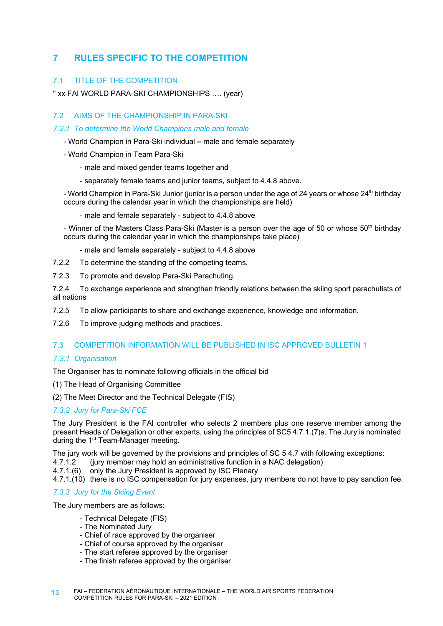# **7 RULES SPECIFIC TO THE COMPETITION**

## 7.1 TITLE OF THE COMPETITION

" xx FAI WORLD PARA-SKI CHAMPIONSHIPS …. (year)

## 7.2 AIMS OF THE CHAMPIONSHIP IN PARA-SKI

### *7.2.1 To determine the World Champions male and female*

- World Champion in Para-Ski individual **–** male and female separately
- World Champion in Team Para-Ski
	- male and mixed gender teams together and
	- separately female teams and junior teams, subject to 4.4.8 above.
- World Champion in Para-Ski Junior (junior is a person under the age of 24 years or whose 24<sup>th</sup> birthday occurs during the calendar year in which the championships are held)
	- male and female separately subject to 4.4.8 above

- Winner of the Masters Class Para-Ski (Master is a person over the age of 50 or whose 50<sup>th</sup> birthday occurs during the calendar year in which the championships take place)

- male and female separately subject to 4.4.8 above
- 7.2.2 To determine the standing of the competing teams.
- 7.2.3 To promote and develop Para-Ski Parachuting.

7.2.4 To exchange experience and strengthen friendly relations between the skiing sport parachutists of all nations

- 7.2.5 To allow participants to share and exchange experience, knowledge and information.
- 7.2.6 To improve judging methods and practices.

## 7.3 COMPETITION INFORMATION WILL BE PUBLISHED IN ISC APPROVED BULLETIN 1

## *7.3.1 Organisation*

The Organiser has to nominate following officials in the official bid

- (1) The Head of Organising Committee
- (2) The Meet Director and the Technical Delegate (FIS)

## *7.3.2 Jury for Para-Ski FCE*

The Jury President is the FAI controller who selects 2 members plus one reserve member among the present Heads of Delegation or other experts, using the principles of SC5 4.7.1.(7)a. The Jury is nominated during the 1<sup>st</sup> Team-Manager meeting.

The jury work will be governed by the provisions and principles of SC 5 4.7 with following exceptions:

- 4.7.1.2 (jury member may hold an administrative function in a NAC delegation)
- 4.7.1.(6) only the Jury President is approved by ISC Plenary
- 4.7.1.(10) there is no ISC compensation for jury expenses, jury members do not have to pay sanction fee.

## *7.3.3 Jury for the Skiing Event*

The Jury members are as follows:

- Technical Delegate (FIS)
- The Nominated Jury
- Chief of race approved by the organiser
- Chief of course approved by the organiser
- The start referee approved by the organiser
- The finish referee approved by the organiser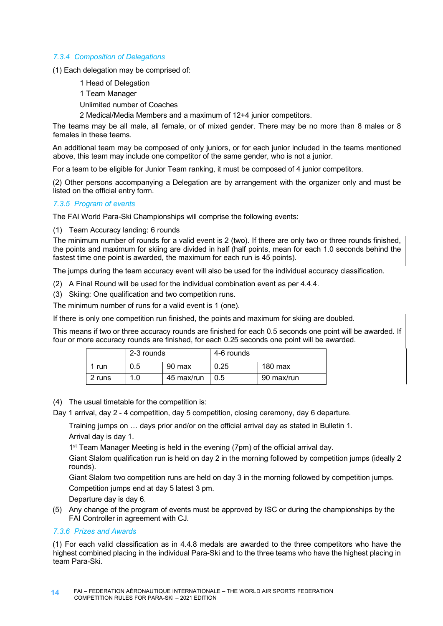## *7.3.4 Composition of Delegations*

(1) Each delegation may be comprised of:

- 1 Head of Delegation
- 1 Team Manager
- Unlimited number of Coaches
- 2 Medical/Media Members and a maximum of 12+4 junior competitors.

The teams may be all male, all female, or of mixed gender. There may be no more than 8 males or 8 females in these teams.

An additional team may be composed of only juniors, or for each junior included in the teams mentioned above, this team may include one competitor of the same gender, who is not a junior.

For a team to be eligible for Junior Team ranking, it must be composed of 4 junior competitors.

(2) Other persons accompanying a Delegation are by arrangement with the organizer only and must be listed on the official entry form.

### *7.3.5 Program of events*

The FAI World Para-Ski Championships will comprise the following events:

(1) Team Accuracy landing: 6 rounds

The minimum number of rounds for a valid event is 2 (two). If there are only two or three rounds finished, the points and maximum for skiing are divided in half (half points, mean for each 1.0 seconds behind the fastest time one point is awarded, the maximum for each run is 45 points).

The jumps during the team accuracy event will also be used for the individual accuracy classification.

- (2) A Final Round will be used for the individual combination event as per 4.4.4.
- (3) Skiing: One qualification and two competition runs.

The minimum number of runs for a valid event is 1 (one).

If there is only one competition run finished, the points and maximum for skiing are doubled.

This means if two or three accuracy rounds are finished for each 0.5 seconds one point will be awarded. If four or more accuracy rounds are finished, for each 0.25 seconds one point will be awarded.

|        | 2-3 rounds |            | 4-6 rounds |                   |
|--------|------------|------------|------------|-------------------|
| run    | 0.5        | 90 max     | 0.25       | $180 \text{ max}$ |
| 2 runs | 1.0        | 45 max/run | 0.5        | 90 max/run        |

- (4) The usual timetable for the competition is:
- Day 1 arrival, day 2 4 competition, day 5 competition, closing ceremony, day 6 departure.

Training jumps on … days prior and/or on the official arrival day as stated in Bulletin 1. Arrival day is day 1.

1<sup>st</sup> Team Manager Meeting is held in the evening (7pm) of the official arrival day.

Giant Slalom qualification run is held on day 2 in the morning followed by competition jumps (ideally 2 rounds).

Giant Slalom two competition runs are held on day 3 in the morning followed by competition jumps.

Competition jumps end at day 5 latest 3 pm.

Departure day is day 6.

(5) Any change of the program of events must be approved by ISC or during the championships by the FAI Controller in agreement with CJ.

#### *7.3.6 Prizes and Awards*

(1) For each valid classification as in 4.4.8 medals are awarded to the three competitors who have the highest combined placing in the individual Para-Ski and to the three teams who have the highest placing in team Para-Ski.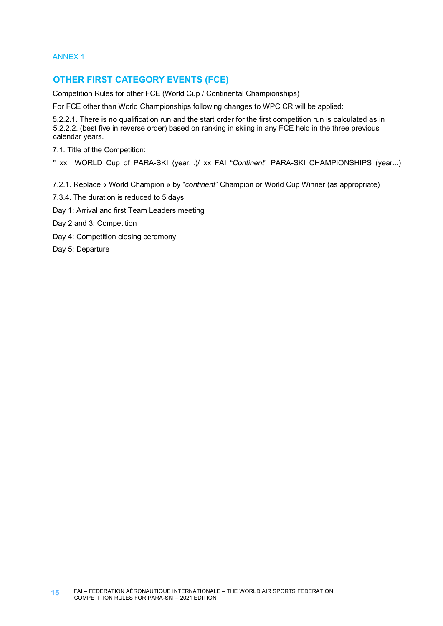ANNEX 1

# **OTHER FIRST CATEGORY EVENTS (FCE)**

Competition Rules for other FCE (World Cup / Continental Championships)

For FCE other than World Championships following changes to WPC CR will be applied:

5.2.2.1. There is no qualification run and the start order for the first competition run is calculated as in 5.2.2.2. (best five in reverse order) based on ranking in skiing in any FCE held in the three previous calendar years.

7.1. Title of the Competition:

" xx WORLD Cup of PARA-SKI (year...)/ xx FAI "*Continent*" PARA-SKI CHAMPIONSHIPS (year...)

7.2.1. Replace « World Champion » by "*continent*" Champion or World Cup Winner (as appropriate)

- 7.3.4. The duration is reduced to 5 days
- Day 1: Arrival and first Team Leaders meeting

Day 2 and 3: Competition

Day 4: Competition closing ceremony

Day 5: Departure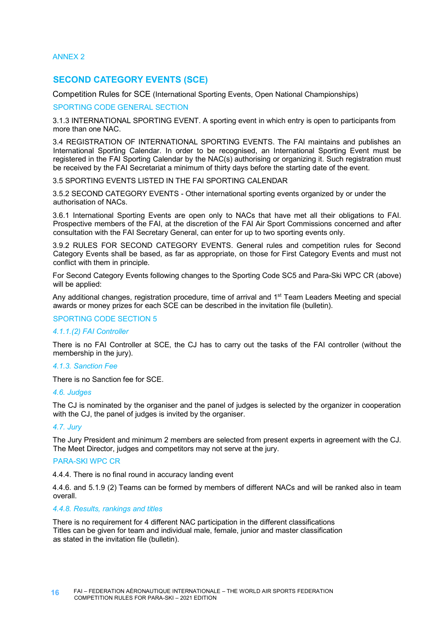ANNEX 2

## **SECOND CATEGORY EVENTS (SCE)**

Competition Rules for SCE (International Sporting Events, Open National Championships)

#### SPORTING CODE GENERAL SECTION

3.1.3 INTERNATIONAL SPORTING EVENT. A sporting event in which entry is open to participants from more than one NAC.

3.4 REGISTRATION OF INTERNATIONAL SPORTING EVENTS. The FAI maintains and publishes an International Sporting Calendar. In order to be recognised, an International Sporting Event must be registered in the FAI Sporting Calendar by the NAC(s) authorising or organizing it. Such registration must be received by the FAI Secretariat a minimum of thirty days before the starting date of the event.

#### 3.5 SPORTING EVENTS LISTED IN THE FAI SPORTING CALENDAR

3.5.2 SECOND CATEGORY EVENTS - Other international sporting events organized by or under the authorisation of NACs.

3.6.1 International Sporting Events are open only to NACs that have met all their obligations to FAI. Prospective members of the FAI, at the discretion of the FAI Air Sport Commissions concerned and after consultation with the FAI Secretary General, can enter for up to two sporting events only.

3.9.2 RULES FOR SECOND CATEGORY EVENTS. General rules and competition rules for Second Category Events shall be based, as far as appropriate, on those for First Category Events and must not conflict with them in principle.

For Second Category Events following changes to the Sporting Code SC5 and Para-Ski WPC CR (above) will be applied:

Any additional changes, registration procedure, time of arrival and 1<sup>st</sup> Team Leaders Meeting and special awards or money prizes for each SCE can be described in the invitation file (bulletin).

#### SPORTING CODE SECTION 5

#### *4.1.1.(2) FAI Controller*

There is no FAI Controller at SCE, the CJ has to carry out the tasks of the FAI controller (without the membership in the jury).

#### *4.1.3. Sanction Fee*

There is no Sanction fee for SCE.

#### *4.6. Judges*

The CJ is nominated by the organiser and the panel of judges is selected by the organizer in cooperation with the CJ, the panel of judges is invited by the organiser.

#### *4.7. Jury*

The Jury President and minimum 2 members are selected from present experts in agreement with the CJ. The Meet Director, judges and competitors may not serve at the jury.

#### PARA-SKI WPC CR

4.4.4. There is no final round in accuracy landing event

4.4.6. and 5.1.9 (2) Teams can be formed by members of different NACs and will be ranked also in team overall.

#### *4.4.8. Results, rankings and titles*

There is no requirement for 4 different NAC participation in the different classifications Titles can be given for team and individual male, female, junior and master classification as stated in the invitation file (bulletin).